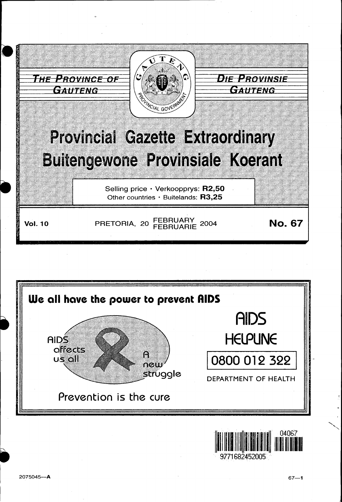



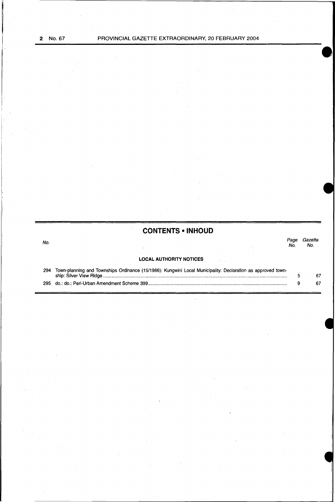No.

**CONTENTS • INHOUD** 

*Page Gazette*  Page<br>No.

# **LOCAL AUTHORITY NOTICES**

 $\bar{\gamma}$ 

| 294 Town-planning and Townships Ordinance (15/1986): Kungwini Local Municipality: Declaration as approved town- |  |
|-----------------------------------------------------------------------------------------------------------------|--|
|                                                                                                                 |  |
|                                                                                                                 |  |

 $\bar{\lambda}$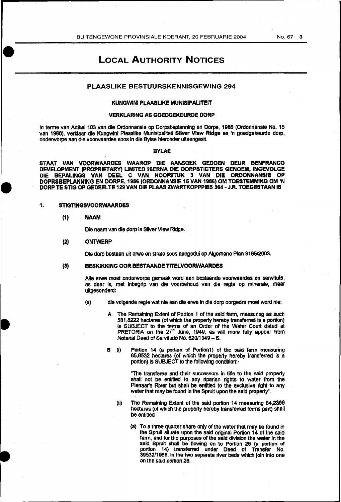# LOCAL AUTHORITY NOTICES

# PLAASLIKE BESTUURSKENNISGEWING 294

# KUNGWINI PLAASUKE MUNISIPAUTEIT

# VERKLARING AS GOEDGEKEURDE DORP

In terme van Artikel 103 van die Otdonnansle op Dorpsbeplanntng en Dorpe, 1986 (Otdonnansie No. 15 van 1986), verklaar die Kungwini Plaaslike Munisipaliteit Silver View Ridge as 'n goedgekeurde dorp, onderworpe aan die voorwaatdes soos In die Bylae hleronder ulteengeslt.

#### BYLAE

STAAT VAN VOORWMRDES WAAROP DIE AANSOEK GEDOEN DEUR BENFRANCO DEVELOPMENT (PROPRIETARY) UMITED HIERNA DIE DORPSTIGTERS GENOEM, INGEVOLGE DIE BEPALINGS VAN DEEL C VAN HOOFSTUK 3 VAN DIE ORDONNANSIE OP DOPRSBEPLANNING EN DORPE, 1986 (ORDONNANSIE 16 VAN 1986) OM TOESTEMMING OM 'N DORP TE STIG OP GEOEELTE 129 VAN DIE PLAAS ZWARTKOPPPIES 364 -J.R. TOEGESTAAN IS

#### 1. STIGTINGSVOORWAARDES

#### (1) NAAM

Oie naam van die dorp is Silver VIew Ridge.

#### {2) ONTWERP

Ole dorp bestaan uit erwe en strata soos aangedui op Algemene Plan 316512003.

#### (3) BESKIKKING OOR BESTAANDE TITELVOORWAARDES

Alle erwe moet onderworpe gemaak word aan bestaande voorwaardes en serwitute, as daar is, met lnbegrlp van die voorbehoud van die regte op minerale, maar uitgesonderd:

- (a) die volgende regte wat nle aan die erwe In die dorp oorgedra moet word nie:
	- A. The Remaining Extent of Portion 1 of the said farm, measuring as such 581,8222 hectares (of which the property hereby transferred is a portion) is SUBJECT to the temns of an Order of the Water Court dated at PRETORIA on the  $27<sup>m</sup>$  June, 1949, as will more fully appear from Notarial Deed of Servitude No. 620/1949 - S.
	- B (i) Portion 14 (a portion of Portion1) of the said farm measuring 85,6532 hectares (of which the property hereby transferred is a portion) is SUBJECT to the following condition:-

"The transferee and their successors in title to the said property shall not be entitled to any riparian rignts to water from the Pienaar's River but shall be entitled to the exclusive right to any water that may be found In the Sprult upon the said property".

- (10 The Remaining Extent of the said portion 14 measuring 64,2399 hectares (of which the property hereby transferred forms part) shall be entitled
	- (a) To a three quarter share only of the water that may be found in the Spruit situate upon the said original Portion 14 of the said fann, and for the purposes of the said division the water in the said Spruit shall be flowing on to Portion 26 (a portion of portion 14} transferred under Deed of Transfer No. 3953211968, in the two separate river beds which join into one on tne said portion 26.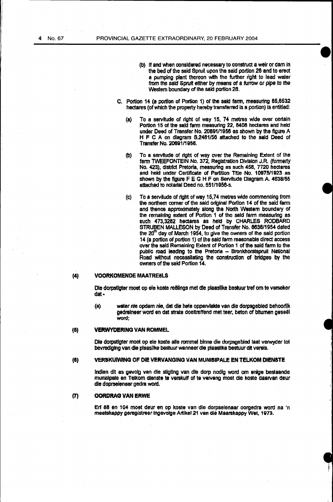- (b) If and when considered necessary to construct a weir or dam in the bed of the said Spruit upon the said portion 26 and to erect a pumping plant thereon with the further right to lead water from the said Sprult either by means of a furrow or pipe to the Western boundary of the said portion 26.
- C. Portion 14 (a portion of Portion 1) of the said farm, measuring 85,6532 hectares (of which the property hereby transferred is a portion) Is entitled:
	- (a) To a servitude of right of way 15, 74 metres wide over certain Portion 15 of the said farm measuring 22, 8408 hectares and held under Deed of Transfer No. 20691/1956 as shown by the figure A H F c A on diagram 82481/56 attached to the said Deed of Transfer No. 20691/1956.
	- (b) To a servitude of right of way over the Remaining Extent of the fann TWEEFONTEIN No. 372, Registration Division J.R. (formerly No. 423), district Pretoria. measuring as such 458, 7720 hectares and held under Certificate of Partition Title No. 10975/1923 as shown by the figure  $F \to G + F$  on Servitude Diagram A. 4638/55 attached to notarial Deed no. 551/1958-s.
	- (c) To a servitude of right of way 15,74 metres wide commencing from the northern corner of the said original Portion 14 of the said farm and thence approximately along the North Western boundary of the remaining extent of Portion 1 of the said tann measuring as such 473,3282 hectares as held by CHARLES RODBARD STRUBEN MALLESON by Deed of Transfer No. 8636/1954 dated the  $20<sup>th</sup>$  day of March 1954, to give the owners of the said portion 14 (a portion of portion 1) of the said farm reasonable direct access over the said Remaining Extent of Portion 1 of the said farm to the public road leading to the Pretoria - Bronkhorstspruit National Road without necessitating the construction of bridges by the owners of the said Portion 14.

# (4) VOORKOMENDE MAATREELS

Die dorpstigter moet op eie koste reëlings met die plaaslike bestuur tref om te verseker dat·

(a) water nie opdam nie, dat die hete oppervlakte van die dorpsgebied behoorlik gedreineer word en dat strate doeltreffend met teer, beton of bitumen geseel word;

#### (5) VERWYDERING VAN ROMMEL

Ole dorpstlgter moet op ele koste aile rommel binne die dorpsgebied laat verwyder tot bevrediging van die plaaslike bestuur wanneer die plaaslike bestuur dit vereis.

#### (6) VERSKUIWING OF DIE VERVANGING VAN MUNISIPALE EN TELKOM DIEN8TE

lndien dit as gevolg van die stigtlng van die dorp nodig word om enlge bestaande munisipate en Telkom dienste te verskuif of te varvang moet die koste daarvan deur die doprseienaer gedra word.

# (7} OORDRAG VAN ERWE

Erf 88 en 104 moet deur en op koste van die dorpselenaar oorgedra word na 'n maatskappy geregistreer tngevolge Artikel 21 van die Maarskappy Wet, 1973.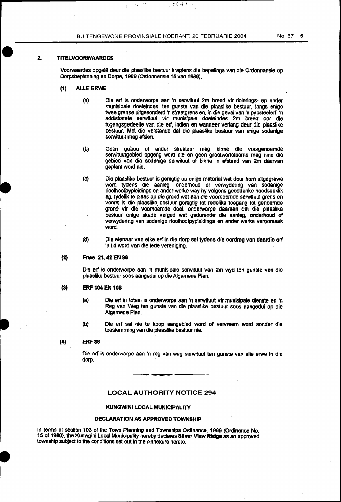BUITENGEWONE PROVINSIALE KOERANT, 20 FEBRUARIE 2004 No. 67 5

 $\mu_{\mathbf{q}} \leq \mathcal{M}$ 

 $\mathbb{T} \to \mathbb{Y}$ 

# 2. TITELVOORWAARDES

Voorwaardes opgelê deur die plaaslike bestuur kragtens die bepalings van die Ordonnansie op Dorpsbeplanning en Dorpe, 1986 (Ordonnansie 15 van 1986).

2.英格林和州

- (1) ALLE ERWE
	- (a) Ole erf is onderworpe aan 'n serwituut 2m breed vir riolerings- en ander munisipale doeleindes, ten gunste van die plaaslike bestuur, tangs enige twee grense ultgesonderd 'n straatgrens en, in die geval van 'n pypsteelerf, 'n addisionele serwituut vir munisipale doeleindes 2m breed oor die togangsgedeelte van die erf, indien en wanneer ver1ang deur die plaaslike bestuur: Met die verstande dat die plaaslike bestuur van enige sodanlge serwituut mag afslen.
	- (b) Geen gebou of ander struktuur mag binne die voorgenoemde serwituutgebled opgerig word nie en geen grootwortelborne mag nine die gebied van die sodanige serwituut of binne 'n afstand van 2m daarvan geplant word nle.
	- (c) Die plaaslike bestuur is geregtig op enige material wat deur hom ultgegrawe word tydens die aanleg, onderhoud of verwydering van sodanige rioolhoofpypleidings en ander werke way hy vofgens goeddunke noodsaaklik ag, tydelik te plaas op die grond wat aan die voomoemde serwituut grens en voorts is die plaasfike bestuur geregtig tot redelike toegang tot genoemde grond vir die voomoemde doel, onderworpe daaraan dat die plaaslike bestuur enlge skade verged wat gedurende die aanleg, ondemoud of verwydering van sodanige rlooihoofpypleidings en ander werke veroorsaak word.
	- (d) Die eienaar van elke erf in die dorp sal tydens die oordrag van daardie erf 'n lid word van die lede verenlglng.

(2) Erwe 21, 42 EN 98

Ole erf Is onderworpe aan •n munlslpale serwltuut van 2m wyd ten gunste van die plaasfike bestuur soos aangedui op die Algemene Plan.

#### (3) ERF 104 EN 106

- (a} Die elf in totaal is onderworpe aan 'n serwituut vir munlsipale dlenste en 'n Reg van Weg ten gunste van die plaaslike bestuur soos aangedui op die Algemene Plan.
- (b) Die erf sal nie te koop aangebied word of vervreem word sonder die toeSlemming van die plaaslike bestuur nie.

# (4) ERF88

Die erf is onderworpe aan 'n reg van weg serwituut ten gunste van alle erwe in die dorp.

#### LOCAL AUTHORITY NOTICE 294

#### KUNGWINI LOCAL. MUNICIPALITY

#### DECLARATION AS APPROVED TOWNSHIP

In tenns of section 103 of the Town Planning and Townships Ordinance, 1986 (Ordinance No. 15 of 1986), the Kunwgini Local Municipality hereby declares Silver View Ridge as an approved townsnlp subject to the conditions set out In tne Annexure hereto.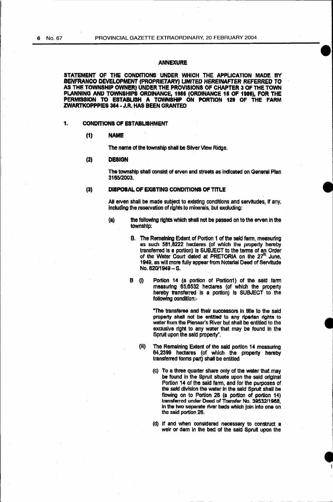# ANNEXURE

STATEMENT OF THE CONDITIONS UNDER WHICH THE APPLICATION MADE BY BENFRANCO DEVELOPMENT (PROPRIETARY) UMITED HEREINAFTER REFERRED TO AS THE TOWNSHIP OWNER) UNDER THE PROVISIONS OF CHAPTER 3 OF THE TOWN PLANNING AND TOWNSHIPS ORDINANCE, 1986 (ORDINANCE 16 OF 1888), FOR THE PERMISSION TO ESTABLISH A TOWNSHIP ON PORTION 128 OF THE FARM ZWARTKOPPPIES 384- J.R. HAS BEEN GRANTED

# 1. CONDITIONS OF ESTABLISHMENT

#### (1) NAME

The name of the township shall be Silver View Ridge.

#### (2) OESIGN

The township shall consist of erven and streets as indicated on General Plan 3165/2003.

# (3) DISPOSAL OF EXISTING CONDITIONS OF TITLE

All erven shall be made subject to existing conditions and servitudes, if any, including the reservation of rights to minerals, but excluding:

- (a) the following rights which shall not be passed on to the erven in the township:
	- B. The Remaining Extent of Portion 1 of the said fann, measuring as such 581,8222 hectares (of which the property hereby transferred Is a portion) Is SUBJECT to the tenns of an Order of the Water Court dated at PRETORIA on the  $27<sup>th</sup>$  June, 1949, as will more fully appear from Notartal Deed of Servitude No. 620/1949-s.
	- B (i) Portion 14 (a portion of Portion1) of the said farm measurtng 85,6532 hectares (of which the property hereby transferred Is a portion) Is SUBJECT to the following condition:-

"The transferee and their successors in title to the said property shall not be entitled to any riparian rights to water from the Pienaar's River but shall be entitled to the exclusive right to any water that may be found in the Spruit upon the said property".

- (iii) The Remaining Extent of the said portion 14 measuring 64,2399 hectares (of which the property hereby tranSferred forms part) shall be entitled
	- (c) To a three quarter share only of the water that may be found in the Spruit situate upon the said original Portion 14 of the said fann, and for the purposes of the said division the water In the said Sprult shall be flowing on to Portion 26 (a portion of portion 14) transferred under Deed of Transfer No. 39532/1968, in the two separate river beds which join into one on the said portion 28.
	- (d) If and when considered necessary to construct a weir or dam In the bed of the said Sprult upon the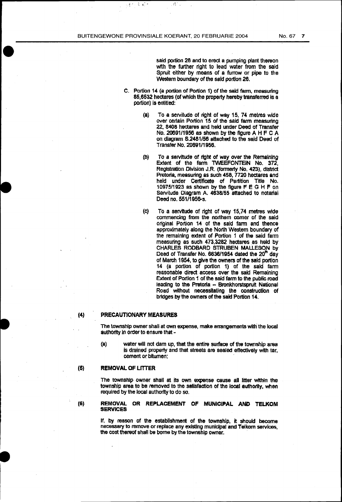终

 $\frac{1}{2}$  ,  $\frac{1}{2}$ 

小野の

said portion 26 and to erect a pumping plant thereon with the further right to lead water from the said Spruit either by means of a furrow or pipe to the Western boundary of the sald portion 26.

- C. Portion 14 (a portion of Portion 1) of the said farm, measuring 85,6532 hectares (of which the property hereby transferred is a portion) is entitled:
	- (a} To a servitude of right of way 15, 74 metres wide over certain Portion 15 of the said fann measuring 22, 8408 hectares and held under Deed of Transfer No. 20691/1956 as shown by the figure A H F C A on diagram S.2481/56 attached to the said Deed of Transfer No. 2069111956.
	- (b) To a servitude or right or way over the Remaining Extent of the farm TWEEFONTEIN No. 372, Registration Division J.R. (formerly No. 423), district Pretoria, measuring as such 458, 7720 hectares and held under Certificate of Partition Title No. 1097511923 as shown by the figure FE G H F on servitude Diagram A. 4638155 attached to notarial Deed no. 551/1956-s.
	- (c) To a servitude of light of way 15,74 metres wide commencing from the northern comer of the said original Portion 14 of the said farm and thence approximately along the North Western boundary of the remaining extent of Portion 1 of the said farm measuring as such 473,3282 hectares as held by CHARLES RODBARD STRUBEN MALLESON by Deed of Transfer No. 6636/1954 dated the 20<sup>th</sup> day of March 1954, to give the owners of the said portion 14 (a portion of portion 1) of the said farm reasonable direct access over the said Remaining Extent of Portion 1 of the said fann to the public road leading to the Pretoria - Bronkhorstspruit National Road without necessitating the construction of brtdges by the owners of the said Portion 14.

#### (4) PRECAUTIONARY MEASURES

The township owner shall at own expense, make arrangements with the local authority in order to ensure that -

(a) water will not dam up, that the entire surface of the township area is drained property and that streets are sealed effectively with tar, cement or bitumen;

#### (6) REMOVAL OF LITTER

The township owner shall at its own expense cause all litter within the township area *to* be removed to the satisfaction of the local authortty, when required by the local authorfty to do so.

#### (&) REMOVAL OR REPLACEMENT OF MUNICIPAL AND TELKOM SERVICES

If, by reason of the establishment of the township, it should become necessary to remove or replace any existing municipal and Telkom services, the cost thereof shall be borne by the township owner.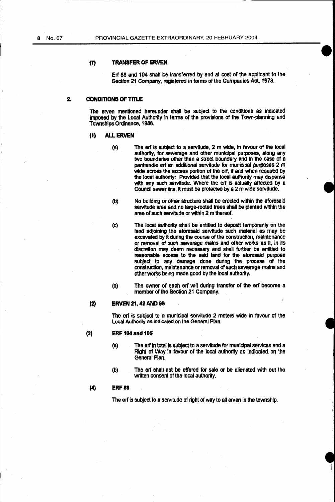# (1) TRANSFER OF ERVEN

Erf 88 and 104 shall be transferred by and at cost of the applicant to the Section 21 Company, registered in terms of the Companies Act, 1973.

# 2. CONDITIONS OF TITLE

The erven mentioned hereunder shall be subject to the conditions as indicated Imposed by the Local Authority in terms of the provisions of the Town·planning and Townships Ordinance, 1988.

### (1) ALL ERVEN

- (a) The enf is subject to a servitude, 2 m wide, in favour of the local authority, for sewerage and other municipal purposes, along any two boundaries other than a street boundary and In the case of a panhandle erf an additional servitude for municipal purposes 2 m wide across the access portion of the erf, if and when required by the local authority: Provided that the local authority may dispense with any such servitude. Where the erf is actually affected by a Council sewer line, it must be protected by a 2 m wide servitude.
- (b) No building or other structure shall be erected within the aforesaid servitude area and no large-rooted trees shall be planted within the area of such servitude or within 2 m thereof.

(c) The local authority shall be entitled to deposit temporarily on the land adjoining the aforesaid servitude such material as may be excavated by it during the course of the construction, maintenance or removal of such sewerage mains and other works as it, in its discretion may deem necessary and shall further be entitled to reasonable access to the said land for the aforesaid purpose subject to any damage done during the process of the construction, maintenance or removal of such sewerage mains and other works being made good by the local authority.

(d) The owner of each erf will during transfer of the erf become a member of the Section 21 Company.

#### (2) ERVEN 21, 42 AND 98

The erf is subject to a municipal servitude 2 meters wide in favour of the Local Authority as Indicated on the General Plan.

#### (3) ERF 104 and 105

- (a) The erf in total is subject to a servitude for municipal services and a Right or Way in favour of the local authorfty as Indicated. on the General Plan.
- (b) The erf shall not be offered for sale or be alienated with out the written consent of the local authority.

# (4) ERF88

The erf is subject to a servitude of right of way to all erven in the township.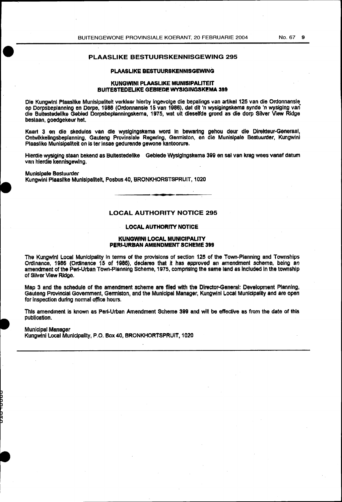# PLAASLIKE BESTUURSKENNISGEWING 295

### PLAASLIKE BESTUURSKENNISGEWING

#### KUNGWINI PLAASLIKE MUNISIPALITEIT BUITESTEDELIKE GEBIEDE WYSIGINGSKEMA 399

Die Kungwini Plaaslike Munisipaliteit verklaar hierby ingevolge die bepalings van artikel 125 van die Ordonnansie op Dorpsbeplanning en Dorpe, 1986 (Ordonnansie 15 van 1986), dat dit 'n wyslgingSkema synde 'n wysiging van die Buitestedelike Gebied Dorpsbeplanningskema, 1 975, wat ult dleselfde grond as die dorp Silver Vtew Ridge bestaan, goedgekeur het.

Ksart 3 en die skedules van die wyslglngstcema word In bewaring gehou deur die Direkteur-Generaal, Ontwikkelingsbeplanning, Gauteng Provinsiale Regering, Germiston, en die Munisipale Bestuurder, Kungwini Plaaslike Munisipaliteit en is ter lnsae gedurende gewone kantoorure.

Hlerdie wysfging staan bekend as Bultestedellke Gebiede Wysfgingskema 399 en sal van krag wees vanaf datum van hierdle kennisgewlng.

MuniSipale Bestuurder Kungwlnl Plaasllke Munlslpalltelt, Posbus40, BRONKHORSTSPRUIT, 1020

#### LOCAL AUTHORITY NOTICE 295

#### LOCAL AUTHORITY NOTICE

#### KUNGWINI LOCAL MUNICIPALITY PERI-URBAN AMENDMENT SCHEMe 399

The Kungwini Local Municipality in terms of the provisions of section 125 of the Town-Pianning and Townships Ordinance, 1986 (Ordinance 15 of 1986), declares that it has approved an amendment scheme, being an amendment of the Peri-Urban Town-Planning Scheme, 1975, comprising the same land as included in the township of Silver View Ridge.

Map 3 and the schedule of the amendment scheme are filed with the Director-General: Development Planning, Gauteng Provincial Government, Germiston, and the Municipal Manager, Kungwini Local Municipality and are open for inspection during normal office hours.

This amendment Is known as Peri-Urban Amendment Scheme 399 and will be effective as from the date of this publication.

Municipal Manager

Kungwini Local Municipality, P.O. Box 40, BRONKHORTSPRUIT, 1020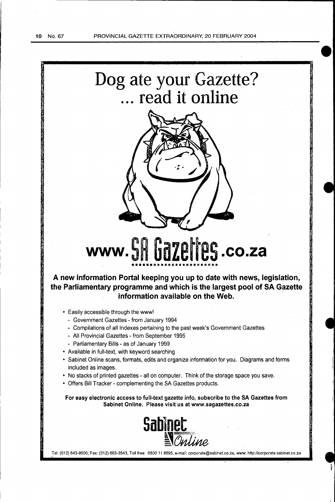**•** 



Tel: (012) 643-9500, Fax: (012) 663-3543, Toll free: 080011 8595, e-mail: corporate@sabinet.co.za, www: http://corporate.sabinet.co.za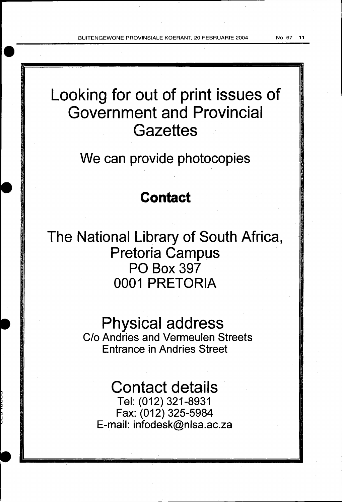BUITENGEWONE PROVINSIALE KOERANT, 20 FEBRUARIE 2004 No. 67 11

Looking for out of print issues of Government and Provincial **Gazettes** 

We can provide photocopies

# **Contact**

The National Library of South Africa, Pretoria Campus PO Box 397 0001 PRETORIA

> Physical address C/o Andries and Vermeulen Streets Entrance in Andries Street

Contact details Tel: (012) 321-8931 Fax: (012) 325-5984 E-mail: infodesk@nlsa.ac.za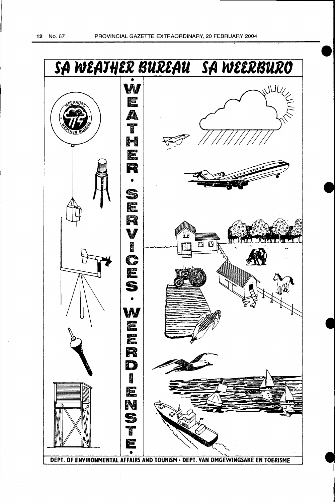12 No. 67 PROVINCIAL GAZETTE EXTRAORDINARY, 20 FEBRUARY 2004

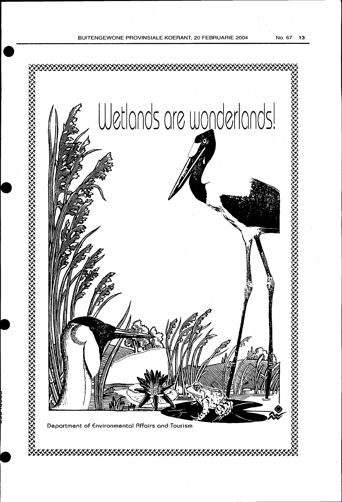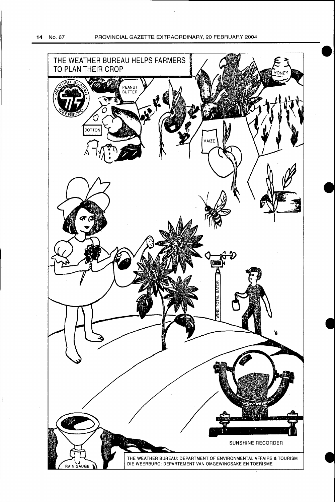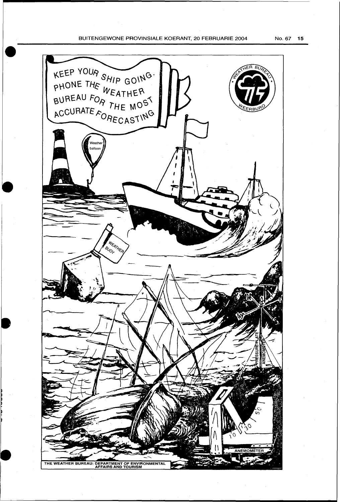# BUITENGEWONE PROVINSIALE KOERANT, 20 FEBRUARIE 2004 No. 67 15